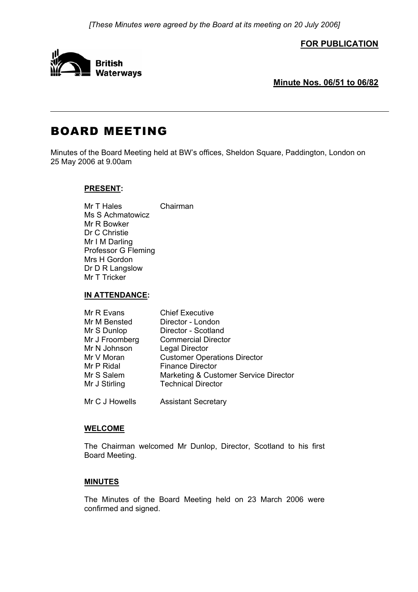**FOR PUBLICATION**



**Minute Nos. 06/51 to 06/82**

# BOARD MEETING

Minutes of the Board Meeting held at BW's offices, Sheldon Square, Paddington, London on 25 May 2006 at 9.00am

# **PRESENT:**

Mr T Hales Chairman Ms S Achmatowicz Mr R Bowker Dr C Christie Mr I M Darling Professor G Fleming Mrs H Gordon Dr D R Langslow Mr T Tricker

## **IN ATTENDANCE:**

| Mr R Evans     | <b>Chief Executive</b>                |
|----------------|---------------------------------------|
| Mr M Bensted   | Director - London                     |
| Mr S Dunlop    | Director - Scotland                   |
| Mr J Froomberg | <b>Commercial Director</b>            |
| Mr N Johnson   | <b>Legal Director</b>                 |
| Mr V Moran     | <b>Customer Operations Director</b>   |
| Mr P Ridal     | <b>Finance Director</b>               |
| Mr S Salem     | Marketing & Customer Service Director |
| Mr J Stirling  | <b>Technical Director</b>             |
|                |                                       |

Mr C J Howells Assistant Secretary

## **WELCOME**

 The Chairman welcomed Mr Dunlop, Director, Scotland to his first Board Meeting.

# **MINUTES**

 The Minutes of the Board Meeting held on 23 March 2006 were confirmed and signed.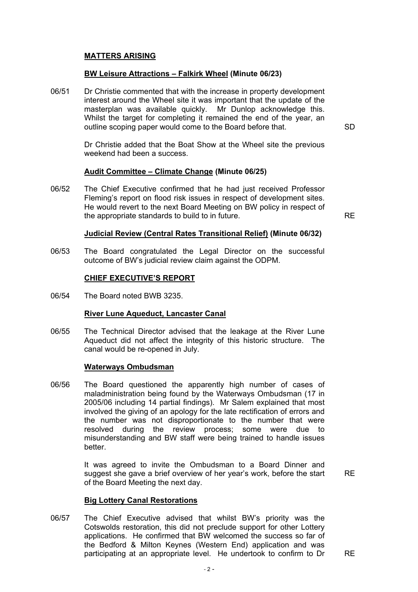# **MATTERS ARISING**

## **BW Leisure Attractions – Falkirk Wheel (Minute 06/23)**

06/51 Dr Christie commented that with the increase in property development interest around the Wheel site it was important that the update of the masterplan was available quickly. Mr Dunlop acknowledge this. Whilst the target for completing it remained the end of the year, an outline scoping paper would come to the Board before that. SD

 Dr Christie added that the Boat Show at the Wheel site the previous weekend had been a success.

## **Audit Committee – Climate Change (Minute 06/25)**

06/52 The Chief Executive confirmed that he had just received Professor Fleming's report on flood risk issues in respect of development sites. He would revert to the next Board Meeting on BW policy in respect of the appropriate standards to build to in future. RE

## **Judicial Review (Central Rates Transitional Relief) (Minute 06/32)**

06/53 The Board congratulated the Legal Director on the successful outcome of BW's judicial review claim against the ODPM.

## **CHIEF EXECUTIVE'S REPORT**

06/54 The Board noted BWB 3235.

## **River Lune Aqueduct, Lancaster Canal**

06/55 The Technical Director advised that the leakage at the River Lune Aqueduct did not affect the integrity of this historic structure. The canal would be re-opened in July.

#### **Waterways Ombudsman**

06/56 The Board questioned the apparently high number of cases of maladministration being found by the Waterways Ombudsman (17 in 2005/06 including 14 partial findings). Mr Salem explained that most involved the giving of an apology for the late rectification of errors and the number was not disproportionate to the number that were resolved during the review process; some were due to misunderstanding and BW staff were being trained to handle issues better.

> It was agreed to invite the Ombudsman to a Board Dinner and suggest she gave a brief overview of her year's work, before the start of the Board Meeting the next day.

RE

## **Big Lottery Canal Restorations**

06/57 The Chief Executive advised that whilst BW's priority was the Cotswolds restoration, this did not preclude support for other Lottery applications. He confirmed that BW welcomed the success so far of the Bedford & Milton Keynes (Western End) application and was participating at an appropriate level. He undertook to confirm to Dr RE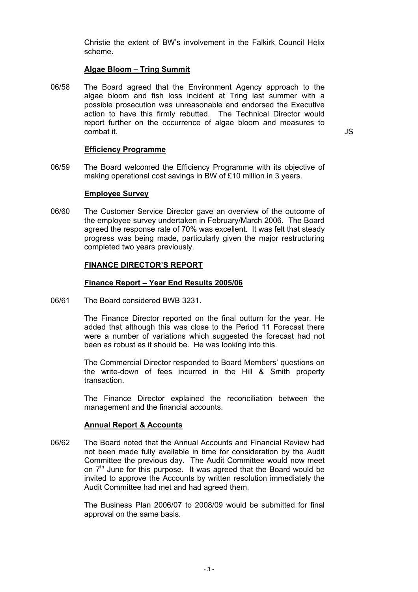Christie the extent of BW's involvement in the Falkirk Council Helix scheme.

## **Algae Bloom – Tring Summit**

06/58 The Board agreed that the Environment Agency approach to the algae bloom and fish loss incident at Tring last summer with a possible prosecution was unreasonable and endorsed the Executive action to have this firmly rebutted. The Technical Director would report further on the occurrence of algae bloom and measures to combat it. JS

## **Efficiency Programme**

06/59 The Board welcomed the Efficiency Programme with its objective of making operational cost savings in BW of £10 million in 3 years.

## **Employee Survey**

06/60 The Customer Service Director gave an overview of the outcome of the employee survey undertaken in February/March 2006. The Board agreed the response rate of 70% was excellent. It was felt that steady progress was being made, particularly given the major restructuring completed two years previously.

## **FINANCE DIRECTOR'S REPORT**

## **Finance Report – Year End Results 2005/06**

06/61 The Board considered BWB 3231.

 The Finance Director reported on the final outturn for the year. He added that although this was close to the Period 11 Forecast there were a number of variations which suggested the forecast had not been as robust as it should be. He was looking into this.

 The Commercial Director responded to Board Members' questions on the write-down of fees incurred in the Hill & Smith property transaction.

 The Finance Director explained the reconciliation between the management and the financial accounts.

## **Annual Report & Accounts**

06/62 The Board noted that the Annual Accounts and Financial Review had not been made fully available in time for consideration by the Audit Committee the previous day. The Audit Committee would now meet on  $7<sup>th</sup>$  June for this purpose. It was agreed that the Board would be invited to approve the Accounts by written resolution immediately the Audit Committee had met and had agreed them.

> The Business Plan 2006/07 to 2008/09 would be submitted for final approval on the same basis.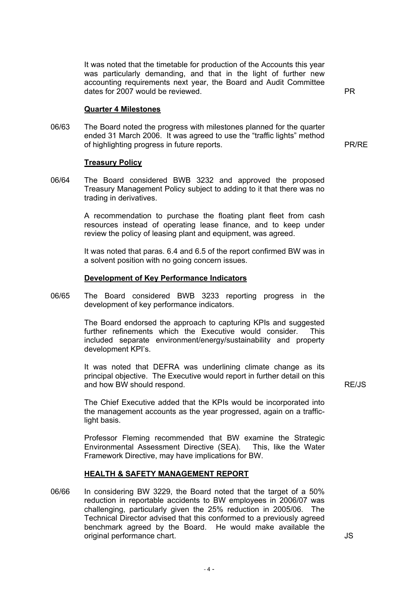It was noted that the timetable for production of the Accounts this year was particularly demanding, and that in the light of further new accounting requirements next year, the Board and Audit Committee dates for 2007 would be reviewed. The state of the state of the PR

#### **Quarter 4 Milestones**

06/63 The Board noted the progress with milestones planned for the quarter ended 31 March 2006. It was agreed to use the "traffic lights" method of highlighting progress in future reports. PR/RE

#### **Treasury Policy**

06/64 The Board considered BWB 3232 and approved the proposed Treasury Management Policy subject to adding to it that there was no trading in derivatives.

> A recommendation to purchase the floating plant fleet from cash resources instead of operating lease finance, and to keep under review the policy of leasing plant and equipment, was agreed.

> It was noted that paras. 6.4 and 6.5 of the report confirmed BW was in a solvent position with no going concern issues.

#### **Development of Key Performance Indicators**

06/65 The Board considered BWB 3233 reporting progress in the development of key performance indicators.

> The Board endorsed the approach to capturing KPIs and suggested further refinements which the Executive would consider. This included separate environment/energy/sustainability and property development KPI's.

 It was noted that DEFRA was underlining climate change as its principal objective. The Executive would report in further detail on this and how BW should respond. The state of the state of the state of the RE/JS

 The Chief Executive added that the KPIs would be incorporated into the management accounts as the year progressed, again on a trafficlight basis.

 Professor Fleming recommended that BW examine the Strategic Environmental Assessment Directive (SEA). This, like the Water Framework Directive, may have implications for BW.

#### **HEALTH & SAFETY MANAGEMENT REPORT**

06/66 In considering BW 3229, the Board noted that the target of a 50% reduction in reportable accidents to BW employees in 2006/07 was challenging, particularly given the 25% reduction in 2005/06. The Technical Director advised that this conformed to a previously agreed benchmark agreed by the Board. He would make available the original performance chart. JS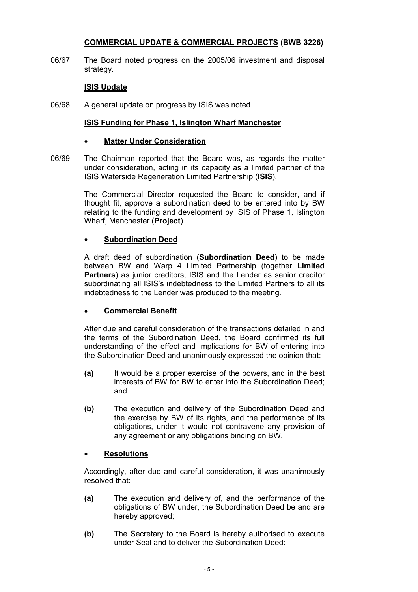# **COMMERCIAL UPDATE & COMMERCIAL PROJECTS (BWB 3226)**

06/67 The Board noted progress on the 2005/06 investment and disposal strategy.

## **ISIS Update**

06/68 A general update on progress by ISIS was noted.

## **ISIS Funding for Phase 1, Islington Wharf Manchester**

## **Matter Under Consideration**

06/69 The Chairman reported that the Board was, as regards the matter under consideration, acting in its capacity as a limited partner of the ISIS Waterside Regeneration Limited Partnership (**ISIS**).

> The Commercial Director requested the Board to consider, and if thought fit, approve a subordination deed to be entered into by BW relating to the funding and development by ISIS of Phase 1, Islington Wharf, Manchester (**Project**).

## • **Subordination Deed**

 A draft deed of subordination (**Subordination Deed**) to be made between BW and Warp 4 Limited Partnership (together **Limited Partners**) as junior creditors, ISIS and the Lender as senior creditor subordinating all ISIS's indebtedness to the Limited Partners to all its indebtedness to the Lender was produced to the meeting.

# • **Commercial Benefit**

 After due and careful consideration of the transactions detailed in and the terms of the Subordination Deed, the Board confirmed its full understanding of the effect and implications for BW of entering into the Subordination Deed and unanimously expressed the opinion that:

- **(a)** It would be a proper exercise of the powers, and in the best interests of BW for BW to enter into the Subordination Deed; and
- **(b)** The execution and delivery of the Subordination Deed and the exercise by BW of its rights, and the performance of its obligations, under it would not contravene any provision of any agreement or any obligations binding on BW.

## • **Resolutions**

 Accordingly, after due and careful consideration, it was unanimously resolved that:

- **(a)** The execution and delivery of, and the performance of the obligations of BW under, the Subordination Deed be and are hereby approved;
- **(b)** The Secretary to the Board is hereby authorised to execute under Seal and to deliver the Subordination Deed: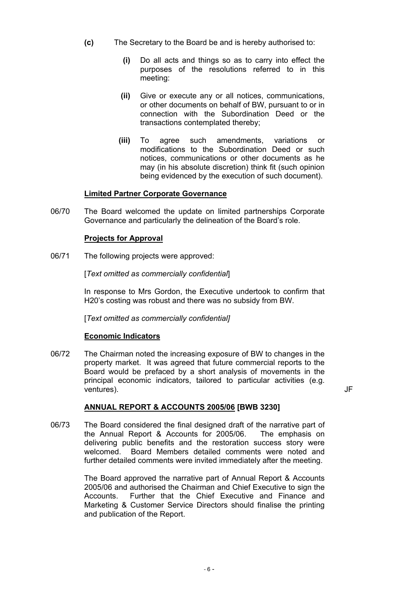- **(c)** The Secretary to the Board be and is hereby authorised to:
	- **(i)** Do all acts and things so as to carry into effect the purposes of the resolutions referred to in this meeting:
	- **(ii)** Give or execute any or all notices, communications, or other documents on behalf of BW, pursuant to or in connection with the Subordination Deed or the transactions contemplated thereby;
	- **(iii)** To agree such amendments, variations or modifications to the Subordination Deed or such notices, communications or other documents as he may (in his absolute discretion) think fit (such opinion being evidenced by the execution of such document).

# **Limited Partner Corporate Governance**

06/70 The Board welcomed the update on limited partnerships Corporate Governance and particularly the delineation of the Board's role.

## **Projects for Approval**

06/71 The following projects were approved:

[*Text omitted as commercially confidential*]

 In response to Mrs Gordon, the Executive undertook to confirm that H20's costing was robust and there was no subsidy from BW.

[*Text omitted as commercially confidential]* 

## **Economic Indicators**

06/72 The Chairman noted the increasing exposure of BW to changes in the property market. It was agreed that future commercial reports to the Board would be prefaced by a short analysis of movements in the principal economic indicators, tailored to particular activities (e.g. ventures). JF

## **ANNUAL REPORT & ACCOUNTS 2005/06 [BWB 3230]**

06/73 The Board considered the final designed draft of the narrative part of the Annual Report & Accounts for 2005/06. The emphasis on delivering public benefits and the restoration success story were welcomed. Board Members detailed comments were noted and further detailed comments were invited immediately after the meeting.

> The Board approved the narrative part of Annual Report & Accounts 2005/06 and authorised the Chairman and Chief Executive to sign the Accounts. Further that the Chief Executive and Finance and Marketing & Customer Service Directors should finalise the printing and publication of the Report.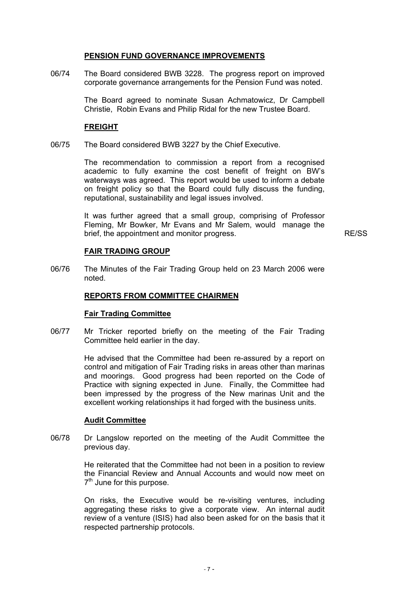## **PENSION FUND GOVERNANCE IMPROVEMENTS**

06/74 The Board considered BWB 3228. The progress report on improved corporate governance arrangements for the Pension Fund was noted.

> The Board agreed to nominate Susan Achmatowicz, Dr Campbell Christie, Robin Evans and Philip Ridal for the new Trustee Board.

#### **FREIGHT**

06/75 The Board considered BWB 3227 by the Chief Executive.

 The recommendation to commission a report from a recognised academic to fully examine the cost benefit of freight on BW's waterways was agreed. This report would be used to inform a debate on freight policy so that the Board could fully discuss the funding, reputational, sustainability and legal issues involved.

 It was further agreed that a small group, comprising of Professor Fleming, Mr Bowker, Mr Evans and Mr Salem, would manage the brief, the appointment and monitor progress. The results of the RE/SS RE/SS

## **FAIR TRADING GROUP**

06/76 The Minutes of the Fair Trading Group held on 23 March 2006 were noted.

## **REPORTS FROM COMMITTEE CHAIRMEN**

#### **Fair Trading Committee**

06/77 Mr Tricker reported briefly on the meeting of the Fair Trading Committee held earlier in the day.

> He advised that the Committee had been re-assured by a report on control and mitigation of Fair Trading risks in areas other than marinas and moorings. Good progress had been reported on the Code of Practice with signing expected in June. Finally, the Committee had been impressed by the progress of the New marinas Unit and the excellent working relationships it had forged with the business units.

#### **Audit Committee**

06/78 Dr Langslow reported on the meeting of the Audit Committee the previous day.

> He reiterated that the Committee had not been in a position to review the Financial Review and Annual Accounts and would now meet on  $7<sup>th</sup>$  June for this purpose.

> On risks, the Executive would be re-visiting ventures, including aggregating these risks to give a corporate view. An internal audit review of a venture (ISIS) had also been asked for on the basis that it respected partnership protocols.